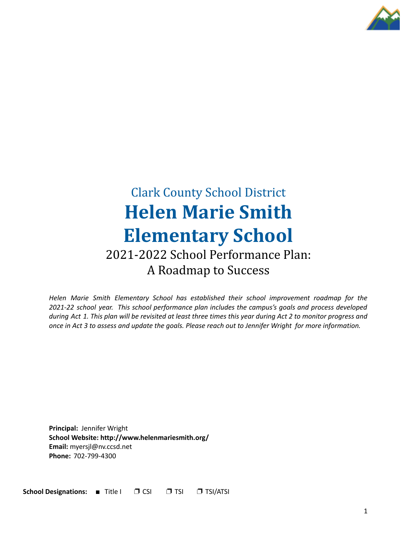

# Clark County School District **Helen Marie Smith Elementary School** 2021-2022 School Performance Plan: A Roadmap to Success

*Helen Marie Smith Elementary School has established their school improvement roadmap for the 2021-22 school year. This school performance plan includes the campus's goals and process developed* during Act 1. This plan will be revisited at least three times this year during Act 2 to monitor progress and once in Act 3 to assess and update the goals. Please reach out to Jennifer Wright for more information.

**Principal:** Jennifer Wright **School Website: http://www.helenmariesmith.org/ Email:** myersjl@nv.ccsd.net **Phone:** 702-799-4300

**School Designations:** ■ Title I ❐ CSI ❐ TSI ❐ TSI/ATSI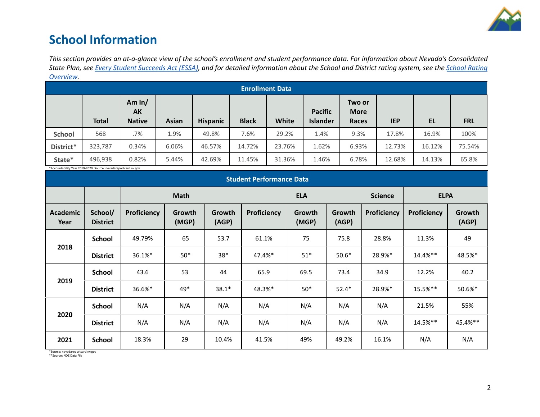

### **School Information**

This section provides an at-a-glance view of the school's enrollment and student performance data. For information about Nevada's Consolidated State Plan, see Every Student [Succeeds](https://doe.nv.gov/uploadedFiles/ndedoenvgov/content/Boards_Commissions_Councils/ESSA_Adv_Group/NevadaSubmittedConsolidatedPlanFinal.pdf) Act (ESSA), and for detailed information about the School and District rating system, see the School [Rating](http://nevadareportcard.nv.gov/DI/MoreDownload?filename=Nevadas%20School%20Rating%20System.pdf) *[Overview.](http://nevadareportcard.nv.gov/DI/MoreDownload?filename=Nevadas%20School%20Rating%20System.pdf)*

|               | <b>Enrollment Data</b> |                                 |              |                 |              |        |                                   |                                |            |        |            |
|---------------|------------------------|---------------------------------|--------------|-----------------|--------------|--------|-----------------------------------|--------------------------------|------------|--------|------------|
|               | <b>Total</b>           | Am $ln/$<br>AK<br><b>Native</b> | <b>Asian</b> | <b>Hispanic</b> | <b>Black</b> | White  | <b>Pacific</b><br><b>Islander</b> | Two or<br><b>More</b><br>Races | <b>IEP</b> | EL     | <b>FRL</b> |
| <b>School</b> | 568                    | .7%                             | 1.9%         | 49.8%           | 7.6%         | 29.2%  | 1.4%                              | 9.3%                           | 17.8%      | 16.9%  | 100%       |
| District*     | 323,787                | 0.34%                           | 6.06%        | 46.57%          | 14.72%       | 23.76% | 1.62%                             | 6.93%                          | 12.73%     | 16.12% | 75.54%     |
| State*        | 496,938                | 0.82%                           | 5.44%        | 42.69%          | 11.45%       | 31.36% | 1.46%                             | 6.78%                          | 12.68%     | 14.13% | 65.8%      |

\*Accountability Year 2019-2020. Source: nevadareportcard.nv.gov

| <b>Student Performance Data</b> |                            |             |                 |                 |             |                 |                 |                |             |                 |
|---------------------------------|----------------------------|-------------|-----------------|-----------------|-------------|-----------------|-----------------|----------------|-------------|-----------------|
|                                 |                            |             | <b>Math</b>     |                 |             | <b>ELA</b>      |                 | <b>Science</b> | <b>ELPA</b> |                 |
| Academic<br>Year                | School/<br><b>District</b> | Proficiency | Growth<br>(MGP) | Growth<br>(AGP) | Proficiency | Growth<br>(MGP) | Growth<br>(AGP) | Proficiency    | Proficiency | Growth<br>(AGP) |
|                                 | <b>School</b>              | 49.79%      | 65              | 53.7            | 61.1%       | 75              | 75.8            | 28.8%          | 11.3%       | 49              |
| 2018                            | <b>District</b>            | 36.1%*      | $50*$           | $38*$           | 47.4%*      | $51*$           | $50.6*$         | 28.9%*         | 14.4%**     | 48.5%*          |
|                                 | <b>School</b>              | 43.6        | 53              | 44              | 65.9        | 69.5            | 73.4            | 34.9           | 12.2%       | 40.2            |
| 2019                            | <b>District</b>            | 36.6%*      | 49*             | $38.1*$         | 48.3%*      | $50*$           | $52.4*$         | 28.9%*         | 15.5%**     | 50.6%*          |
|                                 | <b>School</b>              | N/A         | N/A             | N/A             | N/A         | N/A             | N/A             | N/A            | 21.5%       | 55%             |
| 2020                            | <b>District</b>            | N/A         | N/A             | N/A             | N/A         | N/A             | N/A             | N/A            | 14.5%**     | 45.4%**         |
| 2021                            | <b>School</b>              | 18.3%       | 29              | 10.4%           | 41.5%       | 49%             | 49.2%           | 16.1%          | N/A         | N/A             |

\*Source: nevadareportcard.nv.gov \*\*Source: NDE Data File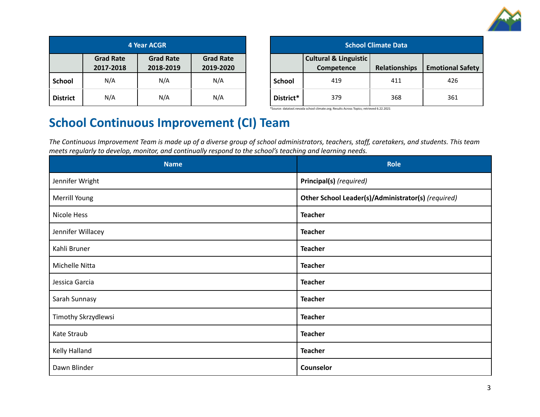

| <b>4 Year ACGR</b> |                               |                               |                               |  |  |
|--------------------|-------------------------------|-------------------------------|-------------------------------|--|--|
|                    | <b>Grad Rate</b><br>2017-2018 | <b>Grad Rate</b><br>2018-2019 | <b>Grad Rate</b><br>2019-2020 |  |  |
| <b>School</b>      | N/A                           | N/A                           | N/A                           |  |  |
| <b>District</b>    | N/A                           | N/A                           | N/A                           |  |  |

| <b>School Climate Data</b> |                                                |                      |                         |  |  |
|----------------------------|------------------------------------------------|----------------------|-------------------------|--|--|
|                            | <b>Cultural &amp; Linguistic</b><br>Competence | <b>Relationships</b> | <b>Emotional Safety</b> |  |  |
| <b>School</b>              | 419                                            | 411                  | 426                     |  |  |
| District*                  | 379                                            | 368                  | 361                     |  |  |

\*Source: datatool.nevada school climate.org; Results Across Topics; retrieved 6.22.2021

## **School Continuous Improvement (CI) Team**

The Continuous Improvement Team is made up of a diverse group of school administrators, teachers, staff, caretakers, and students. This team *meets regularly to develop, monitor, and continually respond to the school's teaching and learning needs.*

| <b>Name</b>         | <b>Role</b>                                        |  |  |
|---------------------|----------------------------------------------------|--|--|
| Jennifer Wright     | Principal(s) (required)                            |  |  |
| Merrill Young       | Other School Leader(s)/Administrator(s) (required) |  |  |
| Nicole Hess         | <b>Teacher</b>                                     |  |  |
| Jennifer Willacey   | <b>Teacher</b>                                     |  |  |
| Kahli Bruner        | <b>Teacher</b>                                     |  |  |
| Michelle Nitta      | <b>Teacher</b>                                     |  |  |
| Jessica Garcia      | <b>Teacher</b>                                     |  |  |
| Sarah Sunnasy       | <b>Teacher</b>                                     |  |  |
| Timothy Skrzydlewsi | <b>Teacher</b>                                     |  |  |
| Kate Straub         | <b>Teacher</b>                                     |  |  |
| Kelly Halland       | <b>Teacher</b>                                     |  |  |
| Dawn Blinder        | Counselor                                          |  |  |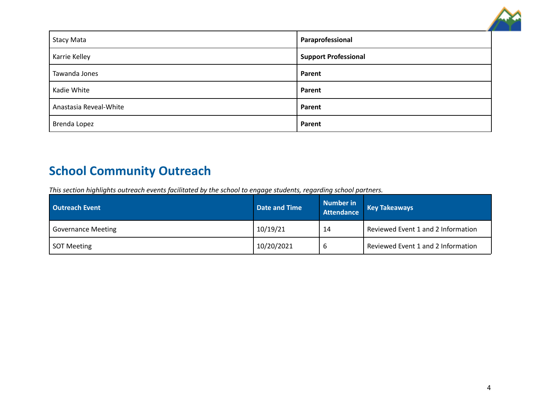

| <b>Stacy Mata</b>      | Paraprofessional            |
|------------------------|-----------------------------|
| Karrie Kelley          | <b>Support Professional</b> |
| Tawanda Jones          | Parent                      |
| Kadie White            | Parent                      |
| Anastasia Reveal-White | Parent                      |
| <b>Brenda Lopez</b>    | Parent                      |

## **School Community Outreach**

*This section highlights outreach events facilitated by the school to engage students, regarding school partners.*

| <b>Cutreach Event</b>     | Date and Time | <b>Number in</b><br><b>Attendance</b> | <b>Key Takeaways</b>               |
|---------------------------|---------------|---------------------------------------|------------------------------------|
| <b>Governance Meeting</b> | 10/19/21      | 14                                    | Reviewed Event 1 and 2 Information |
| <b>SOT Meeting</b>        | 10/20/2021    | O                                     | Reviewed Event 1 and 2 Information |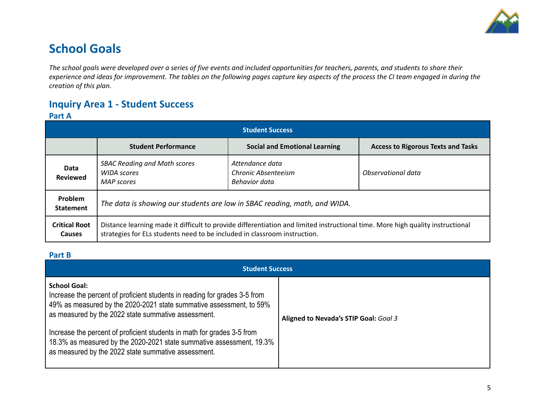

## **School Goals**

The school goals were developed over a series of five events and included opportunities for teachers, parents, and students to share their experience and ideas for improvement. The tables on the following pages capture key aspects of the process the CI team engaged in during the *creation of this plan.*

### **Inquiry Area 1 - Student Success**

#### **Part A**

| <b>Student Success</b>         |                                                                                                                                                                                                             |                                                         |                                           |  |  |  |
|--------------------------------|-------------------------------------------------------------------------------------------------------------------------------------------------------------------------------------------------------------|---------------------------------------------------------|-------------------------------------------|--|--|--|
|                                | <b>Student Performance</b>                                                                                                                                                                                  | <b>Social and Emotional Learning</b>                    | <b>Access to Rigorous Texts and Tasks</b> |  |  |  |
| Data<br><b>Reviewed</b>        | <b>SBAC Reading and Math scores</b><br><b>WIDA</b> scores<br><b>MAP</b> scores                                                                                                                              | Attendance data<br>Chronic Absenteeism<br>Behavior data | Observational data                        |  |  |  |
| Problem<br><b>Statement</b>    | The data is showing our students are low in SBAC reading, math, and WIDA.                                                                                                                                   |                                                         |                                           |  |  |  |
| <b>Critical Root</b><br>Causes | Distance learning made it difficult to provide differentiation and limited instructional time. More high quality instructional<br>strategies for ELs students need to be included in classroom instruction. |                                                         |                                           |  |  |  |

#### **Part B**

| <b>Student Success</b>                                                                                                                                                                                                                                                                                                                                                                                                                    |                                       |  |  |  |  |  |
|-------------------------------------------------------------------------------------------------------------------------------------------------------------------------------------------------------------------------------------------------------------------------------------------------------------------------------------------------------------------------------------------------------------------------------------------|---------------------------------------|--|--|--|--|--|
| <b>School Goal:</b><br>Increase the percent of proficient students in reading for grades 3-5 from<br>49% as measured by the 2020-2021 state summative assessment, to 59%<br>as measured by the 2022 state summative assessment.<br>Increase the percent of proficient students in math for grades 3-5 from<br>18.3% as measured by the 2020-2021 state summative assessment, 19.3%<br>as measured by the 2022 state summative assessment. | Aligned to Nevada's STIP Goal: Goal 3 |  |  |  |  |  |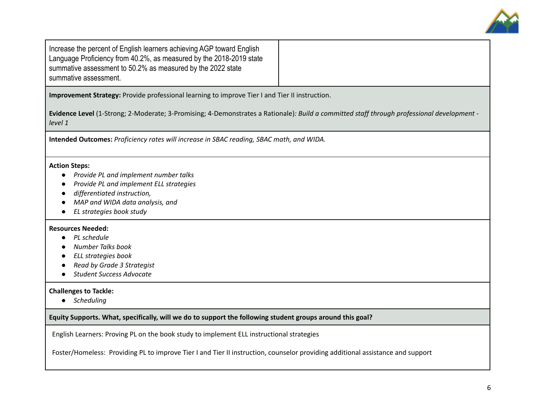

Increase the percent of English learners achieving AGP toward English Language Proficiency from 40.2%, as measured by the 2018-2019 state summative assessment to 50.2% as measured by the 2022 state summative assessment.

**Improvement Strategy:** Provide professional learning to improve Tier I and Tier II instruction.

**Evidence Level** (1-Strong; 2-Moderate; 3-Promising; 4-Demonstrates a Rationale)*: Build a committed staff through professional development level 1*

**Intended Outcomes:** *Proficiency rates will increase in SBAC reading, SBAC math, and WIDA.*

#### **Action Steps:**

- *Provide PL and implement number talks*
- *● Provide PL and implement ELL strategies*
- *differentiated instruction,*
- *MAP and WIDA data analysis, and*
- *EL strategies book study*

#### **Resources Needed:**

- *● PL schedule*
- *● Number Talks book*
- *● ELL strategies book*
- *● Read by Grade 3 Strategist*
- *● Student Success Advocate*

#### **Challenges to Tackle:**

*● Scheduling*

**Equity Supports. What, specifically, will we do to support the following student groups around this goal?**

English Learners: Proving PL on the book study to implement ELL instructional strategies

Foster/Homeless: Providing PL to improve Tier I and Tier II instruction, counselor providing additional assistance and support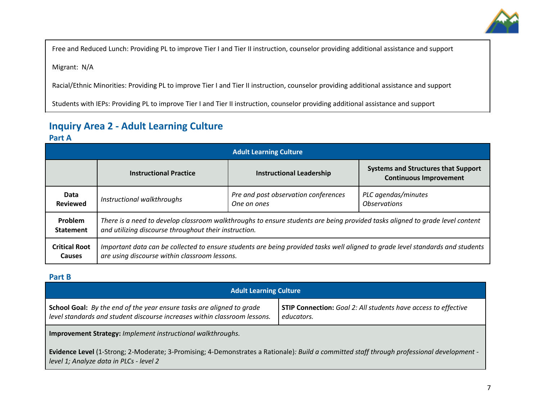

Free and Reduced Lunch: Providing PL to improve Tier I and Tier II instruction, counselor providing additional assistance and support

Migrant: N/A

Racial/Ethnic Minorities: Providing PL to improve Tier I and Tier II instruction, counselor providing additional assistance and support

Students with IEPs: Providing PL to improve Tier I and Tier II instruction, counselor providing additional assistance and support

### **Inquiry Area 2 - Adult Learning Culture**

#### **Part A**

| <b>Adult Learning Culture</b> |                                                                                                                                |                                      |                                                                             |  |  |
|-------------------------------|--------------------------------------------------------------------------------------------------------------------------------|--------------------------------------|-----------------------------------------------------------------------------|--|--|
|                               | <b>Instructional Practice</b>                                                                                                  | <b>Instructional Leadership</b>      | <b>Systems and Structures that Support</b><br><b>Continuous Improvement</b> |  |  |
| Data                          | Instructional walkthroughs                                                                                                     | Pre and post observation conferences | PLC agendas/minutes                                                         |  |  |
| <b>Reviewed</b>               |                                                                                                                                | One on ones                          | <i><b>Observations</b></i>                                                  |  |  |
| Problem                       | There is a need to develop classroom walkthroughs to ensure students are being provided tasks aligned to grade level content   |                                      |                                                                             |  |  |
| <b>Statement</b>              | and utilizing discourse throughout their instruction.                                                                          |                                      |                                                                             |  |  |
| <b>Critical Root</b>          | Important data can be collected to ensure students are being provided tasks well aligned to grade level standards and students |                                      |                                                                             |  |  |
| <b>Causes</b>                 | are using discourse within classroom lessons.                                                                                  |                                      |                                                                             |  |  |

#### **Part B**

| <b>Adult Learning Culture</b>                                                                                                                             |                                                                                     |  |  |  |  |
|-----------------------------------------------------------------------------------------------------------------------------------------------------------|-------------------------------------------------------------------------------------|--|--|--|--|
| <b>School Goal:</b> By the end of the year ensure tasks are aligned to grade<br>level standards and student discourse increases within classroom lessons. | <b>STIP Connection:</b> Goal 2: All students have access to effective<br>educators. |  |  |  |  |
| <b>Improvement Strategy: Implement instructional walkthroughs.</b>                                                                                        |                                                                                     |  |  |  |  |

**Evidence Level** (1-Strong; 2-Moderate; 3-Promising; 4-Demonstrates a Rationale)*: Build a committed staff through professional development level 1; Analyze data in PLCs - level 2*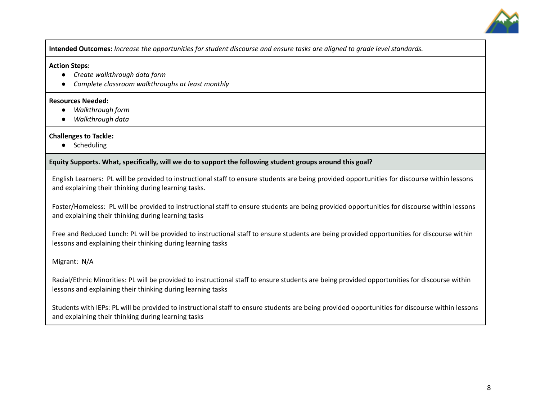

Intended Outcomes: Increase the opportunities for student discourse and ensure tasks are aligned to grade level standards.

#### **Action Steps:**

- *● Create walkthrough data form*
- *● Complete classroom walkthroughs at least monthly*

#### **Resources Needed:**

- **●** *Walkthrough form*
- *● Walkthrough data*

#### **Challenges to Tackle:**

● Scheduling

#### **Equity Supports. What, specifically, will we do to support the following student groups around this goal?**

English Learners: PL will be provided to instructional staff to ensure students are being provided opportunities for discourse within lessons and explaining their thinking during learning tasks.

Foster/Homeless: PL will be provided to instructional staff to ensure students are being provided opportunities for discourse within lessons and explaining their thinking during learning tasks

Free and Reduced Lunch: PL will be provided to instructional staff to ensure students are being provided opportunities for discourse within lessons and explaining their thinking during learning tasks

Migrant: N/A

Racial/Ethnic Minorities: PL will be provided to instructional staff to ensure students are being provided opportunities for discourse within lessons and explaining their thinking during learning tasks

Students with IEPs: PL will be provided to instructional staff to ensure students are being provided opportunities for discourse within lessons and explaining their thinking during learning tasks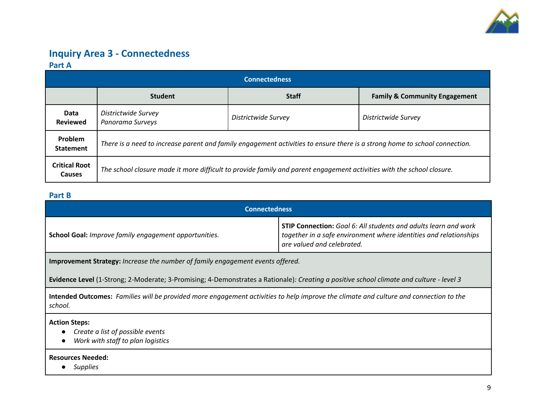

### **Inquiry Area 3 - Connectedness Part A**

| <b>Connectedness</b>           |                                                                                                                            |                     |                                          |  |  |
|--------------------------------|----------------------------------------------------------------------------------------------------------------------------|---------------------|------------------------------------------|--|--|
|                                | <b>Student</b>                                                                                                             | <b>Staff</b>        | <b>Family &amp; Community Engagement</b> |  |  |
| Data<br><b>Reviewed</b>        | Districtwide Survey<br>Panorama Surveys                                                                                    | Districtwide Survey | Districtwide Survey                      |  |  |
| Problem<br><b>Statement</b>    | There is a need to increase parent and family engagement activities to ensure there is a strong home to school connection. |                     |                                          |  |  |
| <b>Critical Root</b><br>Causes | The school closure made it more difficult to provide family and parent engagement activities with the school closure.      |                     |                                          |  |  |

#### **Part B**

| <b>Connectedness</b>                                  |                                                                                                                                                                    |  |  |
|-------------------------------------------------------|--------------------------------------------------------------------------------------------------------------------------------------------------------------------|--|--|
| School Goal: Improve family engagement opportunities. | STIP Connection: Goal 6: All students and adults learn and work<br>together in a safe environment where identities and relationships<br>are valued and celebrated. |  |  |

**Improvement Strategy:** *Increase the number of family engagement events offered.*

Evidence Level (1-Strong; 2-Moderate; 3-Promising; 4-Demonstrates a Rationale): Creating a positive school climate and culture - level 3

Intended Outcomes: Families will be provided more engagement activities to help improve the climate and culture and connection to the *school.*

**Action Steps:**

- *● Create a list of possible events*
- *● Work with staff to plan logistics*

**Resources Needed:**

**●** *Supplies*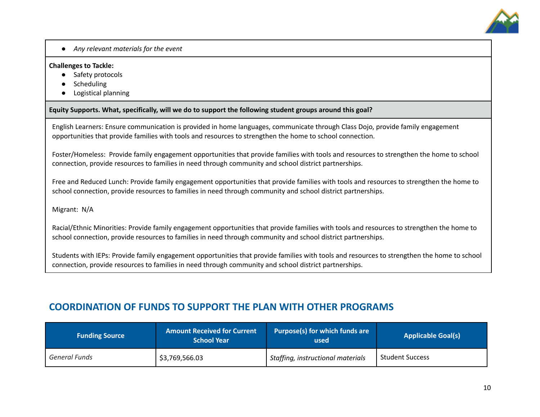

*● Any relevant materials for the event*

#### **Challenges to Tackle:**

- Safety protocols
- Scheduling
- Logistical planning

#### **Equity Supports. What, specifically, will we do to support the following student groups around this goal?**

English Learners: Ensure communication is provided in home languages, communicate through Class Dojo, provide family engagement opportunities that provide families with tools and resources to strengthen the home to school connection.

Foster/Homeless: Provide family engagement opportunities that provide families with tools and resources to strengthen the home to school connection, provide resources to families in need through community and school district partnerships.

Free and Reduced Lunch: Provide family engagement opportunities that provide families with tools and resources to strengthen the home to school connection, provide resources to families in need through community and school district partnerships.

#### Migrant: N/A

Racial/Ethnic Minorities: Provide family engagement opportunities that provide families with tools and resources to strengthen the home to school connection, provide resources to families in need through community and school district partnerships.

Students with IEPs: Provide family engagement opportunities that provide families with tools and resources to strengthen the home to school connection, provide resources to families in need through community and school district partnerships.

### **COORDINATION OF FUNDS TO SUPPORT THE PLAN WITH OTHER PROGRAMS**

| <b>Funding Source</b> | <b>Amount Received for Current</b><br><b>School Year</b> | Purpose(s) for which funds are<br>used | <b>Applicable Goal(s)</b> |
|-----------------------|----------------------------------------------------------|----------------------------------------|---------------------------|
| General Funds         | \$3,769,566.03                                           | Staffing, instructional materials      | <b>Student Success</b>    |